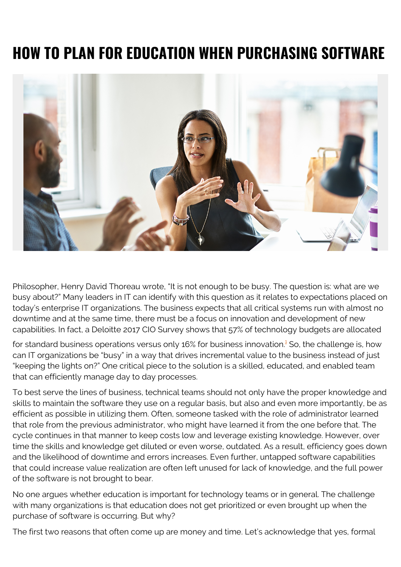# **HOW TO PLAN FOR EDUCATION WHEN PURCHASING SOFTWARE**



Philosopher, Henry David Thoreau wrote, "It is not enough to be busy. The question is: what are we busy about?" Many leaders in IT can identify with this question as it relates to expectations placed on today's enterprise IT organizations. The business expects that all critical systems run with almost no downtime and at the same time, there must be a focus on innovation and development of new capabilities. In fact, a Deloitte 2017 CIO Survey shows that 57% of technology budgets are allocated

for standard business operations versus only [1](#page--1-0)6% for business innovation.<sup>1</sup> So, the challenge is, how can IT organizations be "busy" in a way that drives incremental value to the business instead of just "keeping the lights on?" One critical piece to the solution is a skilled, educated, and enabled team that can efficiently manage day to day processes.

To best serve the lines of business, technical teams should not only have the proper knowledge and skills to maintain the software they use on a regular basis, but also and even more importantly, be as efficient as possible in utilizing them. Often, someone tasked with the role of administrator learned that role from the previous administrator, who might have learned it from the one before that. The cycle continues in that manner to keep costs low and leverage existing knowledge. However, over time the skills and knowledge get diluted or even worse, outdated. As a result, efficiency goes down and the likelihood of downtime and errors increases. Even further, untapped software capabilities that could increase value realization are often left unused for lack of knowledge, and the full power of the software is not brought to bear.

No one argues whether education is important for technology teams or in general. The challenge with many organizations is that education does not get prioritized or even brought up when the purchase of software is occurring. But why?

The first two reasons that often come up are money and time. Let's acknowledge that yes, formal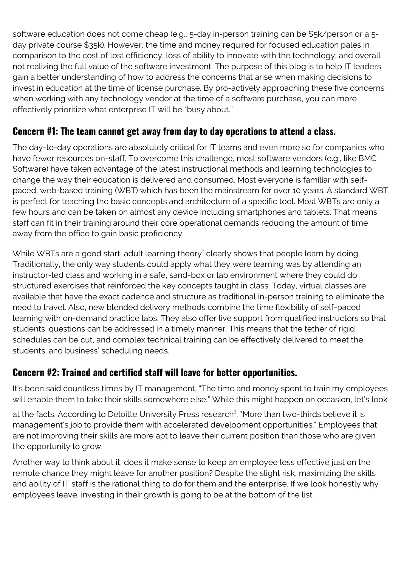software education does not come cheap (e.g., 5-day in-person training can be \$5k/person or a 5 day private course \$35k). However, the time and money required for focused education pales in comparison to the cost of lost efficiency, loss of ability to innovate with the technology, and overall not realizing the full value of the software investment. The purpose of this blog is to help IT leaders gain a better understanding of how to address the concerns that arise when making decisions to invest in education at the time of license purchase. By pro-actively approaching these five concerns when working with any technology vendor at the time of a software purchase, you can more effectively prioritize what enterprise IT will be "busy about."

### **Concern #1: The team cannot get away from day to day operations to attend a class.**

The day-to-day operations are absolutely critical for IT teams and even more so for companies who have fewer resources on-staff. To overcome this challenge, most software vendors (e.g., like BMC Software) have taken advantage of the latest instructional methods and learning technologies to change the way their education is delivered and consumed. Most everyone is familiar with selfpaced, web-based training (WBT) which has been the mainstream for over 10 years. A standard WBT is perfect for teaching the basic concepts and architecture of a specific tool. Most WBTs are only a few hours and can be taken on almost any device including smartphones and tablets. That means staff can fit in their training around their core operational demands reducing the amount of time away from the office to gain basic proficiency.

While WBTs are a good start, adult learning theory<sup>[2](#page--1-0)</sup> clearly shows that people learn by doing. Traditionally, the only way students could apply what they were learning was by attending an instructor-led class and working in a safe, sand-box or lab environment where they could do structured exercises that reinforced the key concepts taught in class. Today, virtual classes are available that have the exact cadence and structure as traditional in-person training to eliminate the need to travel. Also, new blended delivery methods combine the time flexibility of self-paced learning with on-demand practice labs. They also offer live support from qualified instructors so that students' questions can be addressed in a timely manner. This means that the tether of rigid schedules can be cut, and complex technical training can be effectively delivered to meet the students' and business' scheduling needs.

## **Concern #2: Trained and certified staff will leave for better opportunities.**

It's been said countless times by IT management, "The time and money spent to train my employees will enable them to take their skills somewhere else." While this might happen on occasion, let's look

at the facts. According to Deloitte University Press research<sup>[3](#page--1-0)</sup>, "More than two-thirds believe it is management's job to provide them with accelerated development opportunities." Employees that are not improving their skills are more apt to leave their current position than those who are given the opportunity to grow.

Another way to think about it, does it make sense to keep an employee less effective just on the remote chance they might leave for another position? Despite the slight risk, maximizing the skills and ability of IT staff is the rational thing to do for them and the enterprise. If we look honestly why employees leave, investing in their growth is going to be at the bottom of the list.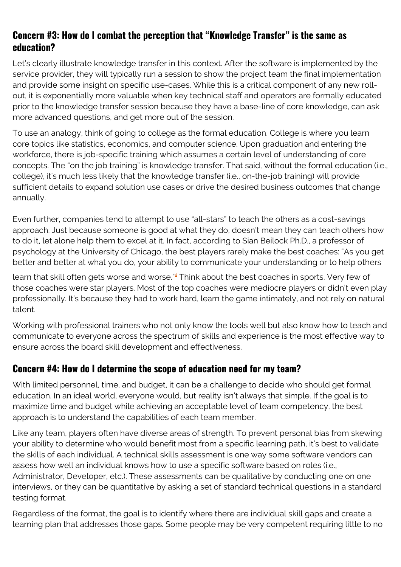#### **Concern #3: How do I combat the perception that "Knowledge Transfer" is the same as education?**

Let's clearly illustrate knowledge transfer in this context. After the software is implemented by the service provider, they will typically run a session to show the project team the final implementation and provide some insight on specific use-cases. While this is a critical component of any new rollout, it is exponentially more valuable when key technical staff and operators are formally educated prior to the knowledge transfer session because they have a base-line of core knowledge, can ask more advanced questions, and get more out of the session.

To use an analogy, think of going to college as the formal education. College is where you learn core topics like statistics, economics, and computer science. Upon graduation and entering the workforce, there is job-specific training which assumes a certain level of understanding of core concepts. The "on the job training" is knowledge transfer. That said, without the formal education (i.e., college), it's much less likely that the knowledge transfer (i.e., on-the-job training) will provide sufficient details to expand solution use cases or drive the desired business outcomes that change annually.

Even further, companies tend to attempt to use "all-stars" to teach the others as a cost-savings approach. Just because someone is good at what they do, doesn't mean they can teach others how to do it, let alone help them to excel at it. In fact, according to Sian Beilock Ph.D., a professor of psychology at the University of Chicago, the best players rarely make the best coaches: "As you get better and better at what you do, your ability to communicate your understanding or to help others

learn that skill often gets worse and worse."<sup>[4](#page--1-0)</sup> Think about the best coaches in sports. Very few of those coaches were star players. Most of the top coaches were mediocre players or didn't even play professionally. It's because they had to work hard, learn the game intimately, and not rely on natural talent.

Working with professional trainers who not only know the tools well but also know how to teach and communicate to everyone across the spectrum of skills and experience is the most effective way to ensure across the board skill development and effectiveness.

## **Concern #4: How do I determine the scope of education need for my team?**

With limited personnel, time, and budget, it can be a challenge to decide who should get formal education. In an ideal world, everyone would, but reality isn't always that simple. If the goal is to maximize time and budget while achieving an acceptable level of team competency, the best approach is to understand the capabilities of each team member.

Like any team, players often have diverse areas of strength. To prevent personal bias from skewing your ability to determine who would benefit most from a specific learning path, it's best to validate the skills of each individual. A technical skills assessment is one way some software vendors can assess how well an individual knows how to use a specific software based on roles (i.e., Administrator, Developer, etc.). These assessments can be qualitative by conducting one on one interviews, or they can be quantitative by asking a set of standard technical questions in a standard testing format.

Regardless of the format, the goal is to identify where there are individual skill gaps and create a learning plan that addresses those gaps. Some people may be very competent requiring little to no